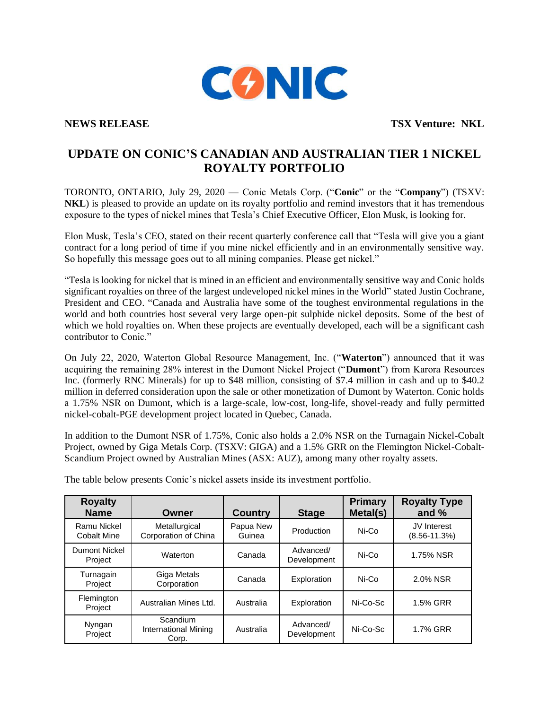

**NEWS RELEASE TSX Venture: NKL**

## **UPDATE ON CONIC'S CANADIAN AND AUSTRALIAN TIER 1 NICKEL ROYALTY PORTFOLIO**

TORONTO, ONTARIO, July 29, 2020 — Conic Metals Corp. ("**Conic**" or the "**Company**") (TSXV: **NKL**) is pleased to provide an update on its royalty portfolio and remind investors that it has tremendous exposure to the types of nickel mines that Tesla's Chief Executive Officer, Elon Musk, is looking for.

Elon Musk, Tesla's CEO, stated on their recent quarterly conference call that "Tesla will give you a giant contract for a long period of time if you mine nickel efficiently and in an environmentally sensitive way. So hopefully this message goes out to all mining companies. Please get nickel."

"Tesla is looking for nickel that is mined in an efficient and environmentally sensitive way and Conic holds significant royalties on three of the largest undeveloped nickel mines in the World" stated Justin Cochrane, President and CEO. "Canada and Australia have some of the toughest environmental regulations in the world and both countries host several very large open-pit sulphide nickel deposits. Some of the best of which we hold royalties on. When these projects are eventually developed, each will be a significant cash contributor to Conic."

On July 22, 2020, Waterton Global Resource Management, Inc. ("**Waterton**") announced that it was acquiring the remaining 28% interest in the Dumont Nickel Project ("**Dumont**") from Karora Resources Inc. (formerly RNC Minerals) for up to \$48 million, consisting of \$7.4 million in cash and up to \$40.2 million in deferred consideration upon the sale or other monetization of Dumont by Waterton. Conic holds a 1.75% NSR on Dumont, which is a large-scale, low-cost, long-life, shovel-ready and fully permitted nickel-cobalt-PGE development project located in Quebec, Canada.

In addition to the Dumont NSR of 1.75%, Conic also holds a 2.0% NSR on the Turnagain Nickel-Cobalt Project, owned by Giga Metals Corp. (TSXV: GIGA) and a 1.5% GRR on the Flemington Nickel-Cobalt-Scandium Project owned by Australian Mines (ASX: AUZ), among many other royalty assets.

| <b>Royalty</b><br><b>Name</b>     | Owner                                            | <b>Country</b>      | <b>Stage</b>             | Primary<br>Metal(s) | <b>Royalty Type</b><br>and $%$         |
|-----------------------------------|--------------------------------------------------|---------------------|--------------------------|---------------------|----------------------------------------|
| Ramu Nickel<br><b>Cobalt Mine</b> | Metallurgical<br>Corporation of China            | Papua New<br>Guinea | Production               | Ni-Co               | <b>JV</b> Interest<br>$(8.56 - 11.3%)$ |
| <b>Dumont Nickel</b><br>Project   | Waterton                                         | Canada              | Advanced/<br>Development | Ni-Co               | 1.75% NSR                              |
| Turnagain<br>Project              | Giga Metals<br>Corporation                       | Canada              | Exploration              | Ni-Co               | 2.0% NSR                               |
| Flemington<br>Project             | Australian Mines Ltd.                            | Australia           | Exploration              | Ni-Co-Sc            | 1.5% GRR                               |
| Nyngan<br>Project                 | Scandium<br><b>International Mining</b><br>Corp. | Australia           | Advanced/<br>Development | Ni-Co-Sc            | 1.7% GRR                               |

The table below presents Conic's nickel assets inside its investment portfolio.